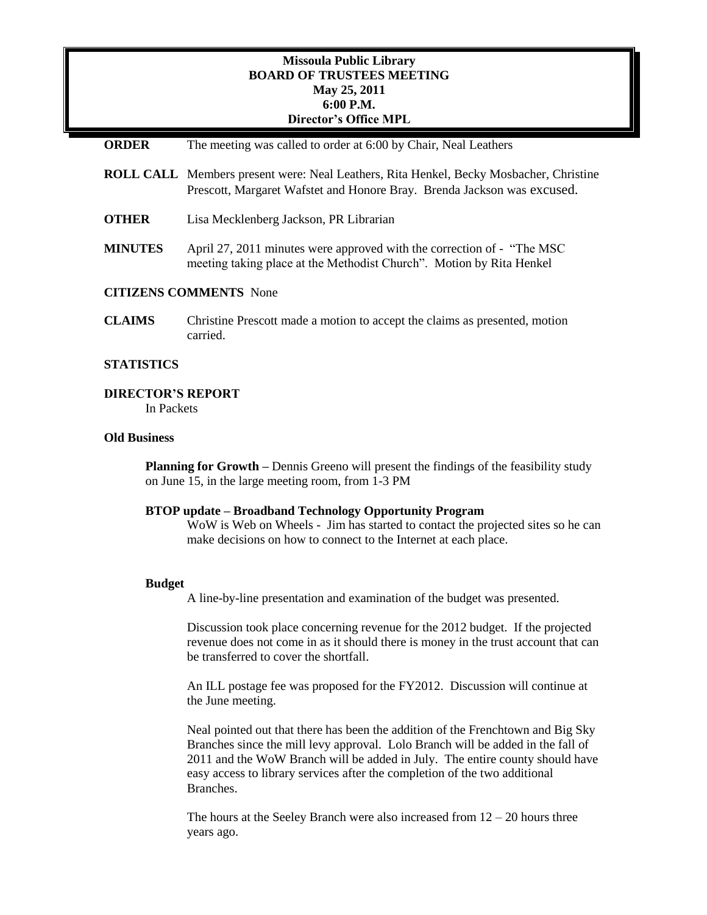### **Missoula Public Library BOARD OF TRUSTEES MEETING May 25, 2011 6:00 P.M. Director's Office MPL**

| <b>ORDER</b>                  | The meeting was called to order at 6:00 by Chair, Neal Leathers                                                                                                          |
|-------------------------------|--------------------------------------------------------------------------------------------------------------------------------------------------------------------------|
|                               | <b>ROLL CALL</b> Members present were: Neal Leathers, Rita Henkel, Becky Mosbacher, Christine<br>Prescott, Margaret Wafstet and Honore Bray. Brenda Jackson was excused. |
| <b>OTHER</b>                  | Lisa Mecklenberg Jackson, PR Librarian                                                                                                                                   |
| <b>MINUTES</b>                | April 27, 2011 minutes were approved with the correction of - "The MSC"<br>meeting taking place at the Methodist Church". Motion by Rita Henkel                          |
| <b>CITIZENS COMMENTS</b> None |                                                                                                                                                                          |
| <b>CLAIMS</b>                 | Christine Prescott made a motion to accept the claims as presented, motion<br>carried.                                                                                   |

### **STATISTICS**

#### **DIRECTOR'S REPORT**

In Packets

### **Old Business**

**Planning for Growth** – Dennis Greeno will present the findings of the feasibility study on June 15, in the large meeting room, from 1-3 PM

#### **BTOP update – Broadband Technology Opportunity Program**

WoW is Web on Wheels - Jim has started to contact the projected sites so he can make decisions on how to connect to the Internet at each place.

#### **Budget**

A line-by-line presentation and examination of the budget was presented.

Discussion took place concerning revenue for the 2012 budget. If the projected revenue does not come in as it should there is money in the trust account that can be transferred to cover the shortfall.

An ILL postage fee was proposed for the FY2012. Discussion will continue at the June meeting.

Neal pointed out that there has been the addition of the Frenchtown and Big Sky Branches since the mill levy approval. Lolo Branch will be added in the fall of 2011 and the WoW Branch will be added in July. The entire county should have easy access to library services after the completion of the two additional Branches.

The hours at the Seeley Branch were also increased from  $12 - 20$  hours three years ago.